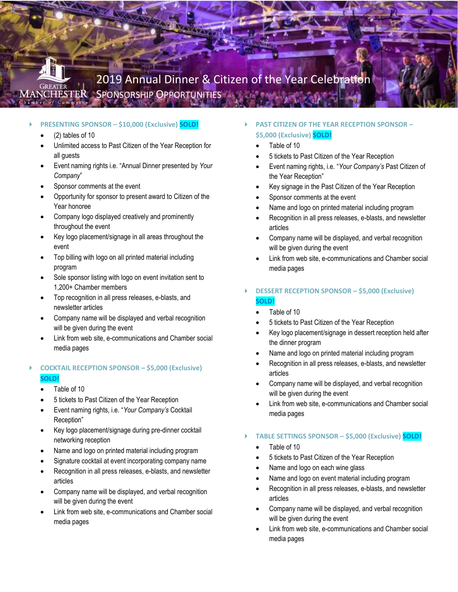

#### **PRESENTING SPONSOR – \$10,000 (Exclusive) SOLD!**

- $(2)$  tables of 10
- Unlimited access to Past Citizen of the Year Reception for all guests
- Event naming rights i.e. "Annual Dinner presented by *Your Company*"
- Sponsor comments at the event
- Opportunity for sponsor to present award to Citizen of the Year honoree
- Company logo displayed creatively and prominently throughout the event
- Key logo placement/signage in all areas throughout the event
- Top billing with logo on all printed material including program
- Sole sponsor listing with logo on event invitation sent to 1,200+ Chamber members
- Top recognition in all press releases, e-blasts, and newsletter articles
- Company name will be displayed and verbal recognition will be given during the event
- Link from web site, e-communications and Chamber social media pages

# **COCKTAIL RECEPTION SPONSOR – \$5,000 (Exclusive) SOLD!**

- Table of 10
- 5 tickets to Past Citizen of the Year Reception
- Event naming rights, i.e. "*Your Company's* Cocktail Reception"
- Key logo placement/signage during pre-dinner cocktail networking reception
- Name and logo on printed material including program
- Signature cocktail at event incorporating company name
- Recognition in all press releases, e-blasts, and newsletter articles
- Company name will be displayed, and verbal recognition will be given during the event
- Link from web site, e-communications and Chamber social media pages
- **PAST CITIZEN OF THE YEAR RECEPTION SPONSOR – \$5,000 (Exclusive) SOLD!**
	- Table of 10
	- 5 tickets to Past Citizen of the Year Reception
	- Event naming rights, i.e. "*Your Company's* Past Citizen of the Year Reception"
	- Key signage in the Past Citizen of the Year Reception
	- Sponsor comments at the event
	- Name and logo on printed material including program
	- Recognition in all press releases, e-blasts, and newsletter articles
	- Company name will be displayed, and verbal recognition will be given during the event
	- Link from web site, e-communications and Chamber social media pages
- **DESSERT RECEPTION SPONSOR – \$5,000 (Exclusive) SOLD!**
	- Table of 10
	- 5 tickets to Past Citizen of the Year Reception
	- Key logo placement/signage in dessert reception held after the dinner program
	- Name and logo on printed material including program
	- Recognition in all press releases, e-blasts, and newsletter articles
	- Company name will be displayed, and verbal recognition will be given during the event
	- Link from web site, e-communications and Chamber social media pages
- **TABLE SETTINGS SPONSOR – \$5,000 (Exclusive) SOLD!**
	- Table of 10
	- 5 tickets to Past Citizen of the Year Reception
	- Name and logo on each wine glass
	- Name and logo on event material including program
	- Recognition in all press releases, e-blasts, and newsletter articles
	- Company name will be displayed, and verbal recognition will be given during the event
	- Link from web site, e-communications and Chamber social media pages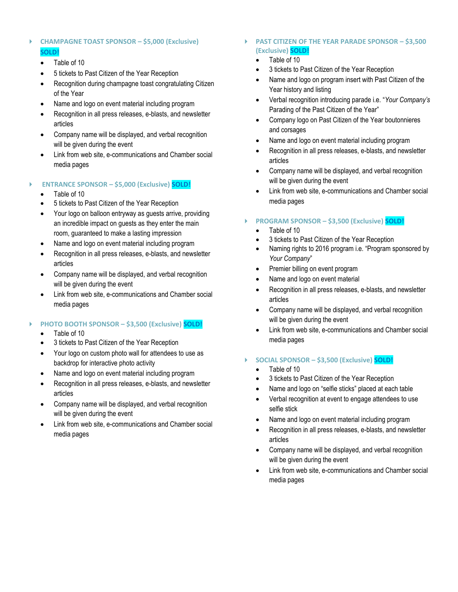# **CHAMPAGNE TOAST SPONSOR – \$5,000 (Exclusive) SOLD!**

- Table of 10
- 5 tickets to Past Citizen of the Year Reception
- Recognition during champagne toast congratulating Citizen of the Year
- Name and logo on event material including program
- Recognition in all press releases, e-blasts, and newsletter articles
- Company name will be displayed, and verbal recognition will be given during the event
- Link from web site, e-communications and Chamber social media pages

#### **ENTRANCE SPONSOR – \$5,000 (Exclusive) SOLD!**

- Table of 10
- 5 tickets to Past Citizen of the Year Reception
- Your logo on balloon entryway as guests arrive, providing an incredible impact on guests as they enter the main room, guaranteed to make a lasting impression
- Name and logo on event material including program
- Recognition in all press releases, e-blasts, and newsletter articles
- Company name will be displayed, and verbal recognition will be given during the event
- Link from web site, e-communications and Chamber social media pages

# **PHOTO BOOTH SPONSOR – \$3,500 (Exclusive) SOLD!**

- Table of 10
- 3 tickets to Past Citizen of the Year Reception
- Your logo on custom photo wall for attendees to use as backdrop for interactive photo activity
- Name and logo on event material including program
- Recognition in all press releases, e-blasts, and newsletter articles
- Company name will be displayed, and verbal recognition will be given during the event
- Link from web site, e-communications and Chamber social media pages

### **PAST CITIZEN OF THE YEAR PARADE SPONSOR – \$3,500 (Exclusive) SOLD!**

- Table of 10
- 3 tickets to Past Citizen of the Year Reception
- Name and logo on program insert with Past Citizen of the Year history and listing
- Verbal recognition introducing parade i.e. "*Your Company's* Parading of the Past Citizen of the Year"
- Company logo on Past Citizen of the Year boutonnieres and corsages
- Name and logo on event material including program
- Recognition in all press releases, e-blasts, and newsletter articles
- Company name will be displayed, and verbal recognition will be given during the event
- Link from web site, e-communications and Chamber social media pages

### **PROGRAM SPONSOR – \$3,500 (Exclusive) SOLD!**

- Table of 10
- 3 tickets to Past Citizen of the Year Reception
- Naming rights to 2016 program i.e. "Program sponsored by *Your Company*"
- Premier billing on event program
- Name and logo on event material
- Recognition in all press releases, e-blasts, and newsletter articles
- Company name will be displayed, and verbal recognition will be given during the event
- Link from web site, e-communications and Chamber social media pages

## **SOCIAL SPONSOR – \$3,500 (Exclusive) SOLD!**

- Table of 10
- 3 tickets to Past Citizen of the Year Reception
- Name and logo on "selfie sticks" placed at each table
- Verbal recognition at event to engage attendees to use selfie stick
- Name and logo on event material including program
- Recognition in all press releases, e-blasts, and newsletter articles
- Company name will be displayed, and verbal recognition will be given during the event
- Link from web site, e-communications and Chamber social media pages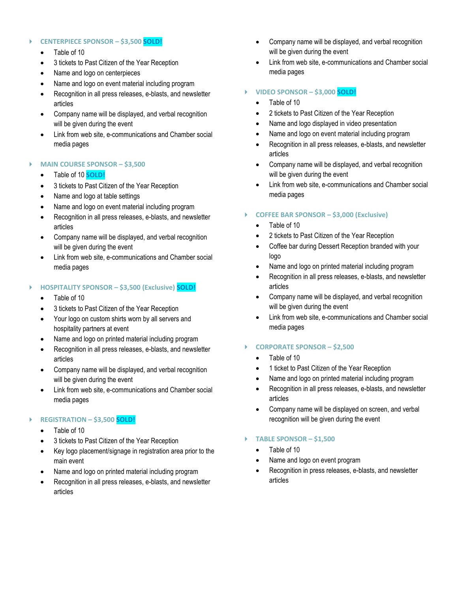#### **CENTERPIECE SPONSOR – \$3,500 SOLD!**

- Table of 10
- 3 tickets to Past Citizen of the Year Reception
- Name and logo on centerpieces
- Name and logo on event material including program
- Recognition in all press releases, e-blasts, and newsletter articles
- Company name will be displayed, and verbal recognition will be given during the event
- Link from web site, e-communications and Chamber social media pages

#### **MAIN COURSE SPONSOR – \$3,500**

- Table of 10 **SOLD!**
- 3 tickets to Past Citizen of the Year Reception
- Name and logo at table settings
- Name and logo on event material including program
- Recognition in all press releases, e-blasts, and newsletter articles
- Company name will be displayed, and verbal recognition will be given during the event
- Link from web site, e-communications and Chamber social media pages

### **HOSPITALITY SPONSOR – \$3,500 (Exclusive) SOLD!**

- Table of 10
- 3 tickets to Past Citizen of the Year Reception
- Your logo on custom shirts worn by all servers and hospitality partners at event
- Name and logo on printed material including program
- Recognition in all press releases, e-blasts, and newsletter articles
- Company name will be displayed, and verbal recognition will be given during the event
- Link from web site, e-communications and Chamber social media pages

# **REGISTRATION – \$3,500 SOLD!**

- Table of 10
- 3 tickets to Past Citizen of the Year Reception
- Key logo placement/signage in registration area prior to the main event
- Name and logo on printed material including program
- Recognition in all press releases, e-blasts, and newsletter articles
- Company name will be displayed, and verbal recognition will be given during the event
- Link from web site, e-communications and Chamber social media pages

# **VIDEO SPONSOR – \$3,000 SOLD!**

- Table of 10
- 2 tickets to Past Citizen of the Year Reception
- Name and logo displayed in video presentation
- Name and logo on event material including program
- Recognition in all press releases, e-blasts, and newsletter articles
- Company name will be displayed, and verbal recognition will be given during the event
- Link from web site, e-communications and Chamber social media pages

# **COFFEE BAR SPONSOR – \$3,000 (Exclusive)**

- Table of 10
- 2 tickets to Past Citizen of the Year Reception
- Coffee bar during Dessert Reception branded with your logo
- Name and logo on printed material including program
- Recognition in all press releases, e-blasts, and newsletter articles
- Company name will be displayed, and verbal recognition will be given during the event
- Link from web site, e-communications and Chamber social media pages

#### **CORPORATE SPONSOR – \$2,500**

- Table of 10
- 1 ticket to Past Citizen of the Year Reception
- Name and logo on printed material including program
- Recognition in all press releases, e-blasts, and newsletter articles
- Company name will be displayed on screen, and verbal recognition will be given during the event

#### **TABLE SPONSOR – \$1,500**

- Table of 10
- Name and logo on event program
- Recognition in press releases, e-blasts, and newsletter articles